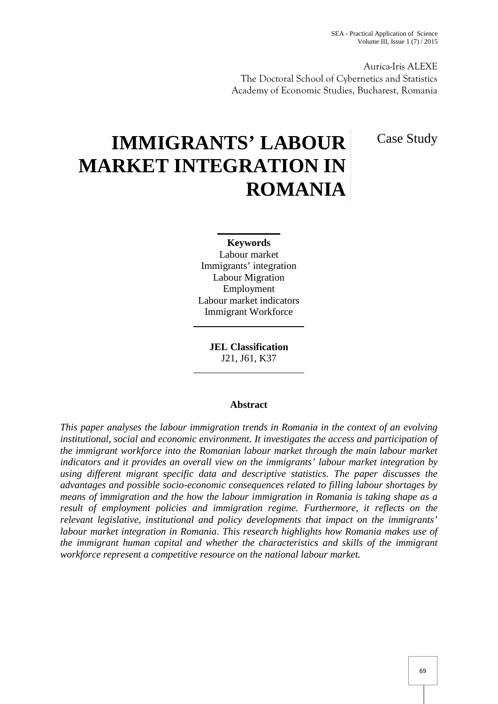Aurica-Iris ALEXE The Doctoral School of Cybernetics and Statistics Academy of Economic Studies, Bucharest, Romania

Case Study

# **IMMIGRANTS' LABOUR MARKET INTEGRATION IN ROMANIA**

**Keywords** Labour market Immigrants' integration Labour Migration Employment Labour market indicators Immigrant Workforce

**JEL Classification** J21, J61, K37

## **Abstract**

*This paper analyses the labour immigration trends in Romania in the context of an evolving institutional, social and economic environment. It investigates the access and participation of the immigrant workforce into the Romanian labour market through the main labour market indicators and it provides an overall view on the immigrants' labour market integration by using different migrant specific data and descriptive statistics. The paper discusses the advantages and possible socio-economic consequences related to filling labour shortages by means of immigration and the how the labour immigration in Romania is taking shape as a result of employment policies and immigration regime. Furthermore, it reflects on the relevant legislative, institutional and policy developments that impact on the immigrants' labour market integration in Romania. This research highlights how Romania makes use of the immigrant human capital and whether the characteristics and skills of the immigrant workforce represent a competitive resource on the national labour market.*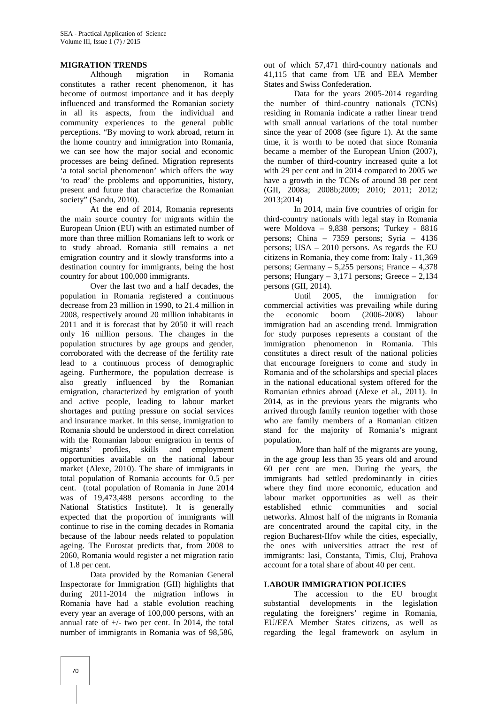## **MIGRATION TRENDS**

Although migration in Romania constitutes a rather recent phenomenon, it has become of outmost importance and it has deeply influenced and transformed the Romanian society in all its aspects, from the individual and community experiences to the general public perceptions. "By moving to work abroad, return in the home country and immigration into Romania, we can see how the major social and economic processes are being defined. Migration represents 'a total social phenomenon' which offers the way 'to read' the problems and opportunities, history, present and future that characterize the Romanian society" (Sandu, 2010).

At the end of 2014, Romania represents the main source country for migrants within the European Union (EU) with an estimated number of more than three million Romanians left to work or to study abroad. Romania still remains a net emigration country and it slowly transforms into a destination country for immigrants, being the host country for about 100,000 immigrants.

Over the last two and a half decades, the population in Romania registered a continuous decrease from 23 million in 1990, to 21.4 million in 2008, respectively around 20 million inhabitants in 2011 and it is forecast that by 2050 it will reach only 16 million persons. The changes in the population structures by age groups and gender, corroborated with the decrease of the fertility rate lead to a continuous process of demographic ageing. Furthermore, the population decrease is also greatly influenced by the Romanian emigration, characterized by emigration of youth and active people, leading to labour market shortages and putting pressure on social services and insurance market. In this sense, immigration to Romania should be understood in direct correlation with the Romanian labour emigration in terms of migrants' profiles, skills and employment opportunities available on the national labour market (Alexe, 2010). The share of immigrants in total population of Romania accounts for 0.5 per cent. (total population of Romania in June 2014 was of 19,473,488 persons according to the National Statistics Institute). It is generally expected that the proportion of immigrants will continue to rise in the coming decades in Romania because of the labour needs related to population ageing. The Eurostat predicts that, from 2008 to 2060, Romania would register a net migration ratio of 1.8 per cent.

Data provided by the Romanian General Inspectorate for Immigration (GII) highlights that during 2011-2014 the migration inflows in Romania have had a stable evolution reaching every year an average of 100,000 persons, with an annual rate of  $+/-$  two per cent. In 2014, the total number of immigrants in Romania was of 98,586, out of which 57,471 third-country nationals and 41,115 that came from UE and EEA Member States and Swiss Confederation.

Data for the years 2005-2014 regarding the number of third-country nationals (TCNs) residing in Romania indicate a rather linear trend with small annual variations of the total number since the year of 2008 (see figure 1). At the same time, it is worth to be noted that since Romania became a member of the European Union (2007), the number of third-country increased quite a lot with 29 per cent and in 2014 compared to 2005 we have a growth in the TCNs of around 38 per cent (GII, 2008a; 2008b;2009; 2010; 2011; 2012; 2013;2014)

In 2014, main five countries of origin for third-country nationals with legal stay in Romania were Moldova – 9,838 persons; Turkey - 8816 persons; China – 7359 persons; Syria – 4136 persons; USA – 2010 persons. As regards the EU citizens in Romania, they come from: Italy - 11,369 persons; Germany – 5,255 persons; France – 4,378 persons; Hungary – 3,171 persons; Greece – 2,134 persons (GII, 2014).

Until 2005, the immigration for commercial activities was prevailing while during economic boom (2006-2008) labour immigration had an ascending trend. Immigration for study purposes represents a constant of the immigration phenomenon in Romania. This constitutes a direct result of the national policies that encourage foreigners to come and study in Romania and of the scholarships and special places in the national educational system offered for the Romanian ethnics abroad (Alexe et al., 2011). In 2014, as in the previous years the migrants who arrived through family reunion together with those who are family members of a Romanian citizen stand for the majority of Romania's migrant population.

More than half of the migrants are young, in the age group less than 35 years old and around 60 per cent are men. During the years, the immigrants had settled predominantly in cities where they find more economic, education and labour market opportunities as well as their ethnic communities and social networks. Almost half of the migrants in Romania are concentrated around the capital city, in the region Bucharest-Ilfov while the cities, especially, the ones with universities attract the rest of immigrants: Iasi, Constanta, Timis, Cluj, Prahova account for a total share of about 40 per cent.

#### **LABOUR IMMIGRATION POLICIES**

The accession to the EU brought substantial developments in the legislation regulating the foreigners' regime in Romania, EU/EEA Member States citizens, as well as regarding the legal framework on asylum in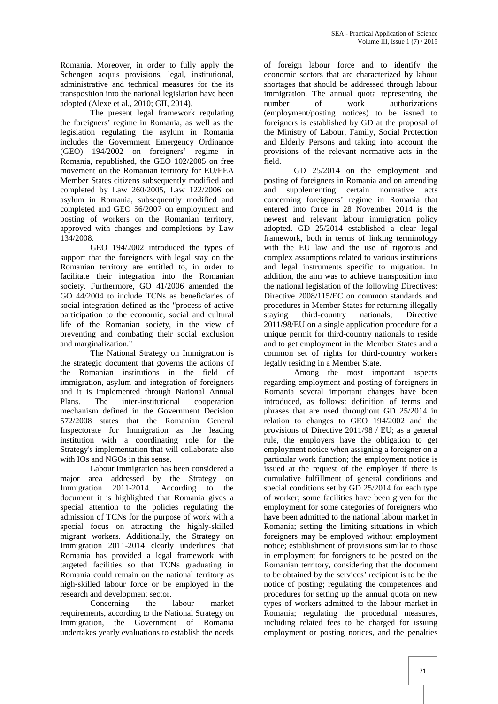Romania. Moreover, in order to fully apply the Schengen acquis provisions, legal, institutional, administrative and technical measures for the its transposition into the national legislation have been adopted (Alexe et al., 2010; GII, 2014).

The present legal framework regulating the foreigners' regime in Romania, as well as the legislation regulating the asylum in Romania includes the Government Emergency Ordinance (GEO) 194/2002 on foreigners' regime in Romania, republished, the GEO 102/2005 on free movement on the Romanian territory for EU/EEA Member States citizens subsequently modified and completed by Law 260/2005, Law 122/2006 on asylum in Romania, subsequently modified and completed and GEO 56/2007 on employment and posting of workers on the Romanian territory, approved with changes and completions by Law 134/2008.

GEO 194/2002 introduced the types of support that the foreigners with legal stay on the Romanian territory are entitled to, in order to facilitate their integration into the Romanian society. Furthermore, GO 41/2006 amended the GO 44/2004 to include TCNs as beneficiaries of social integration defined as the "process of active participation to the economic, social and cultural life of the Romanian society, in the view of preventing and combating their social exclusion and marginalization."

The National Strategy on Immigration is the strategic document that governs the actions of the Romanian institutions in the field of immigration, asylum and integration of foreigners and it is implemented through National Annual Plans. The inter-institutional cooperation mechanism defined in the Government Decision 572/2008 states that the Romanian General Inspectorate for Immigration as the leading institution with a coordinating role for the Strategy's implementation that will collaborate also with IOs and NGOs in this sense.

Labour immigration has been considered a major area addressed by the Strategy on Immigration 2011-2014. According to the document it is highlighted that Romania gives a special attention to the policies regulating the admission of TCNs for the purpose of work with a special focus on attracting the highly-skilled migrant workers. Additionally, the Strategy on Immigration 2011-2014 clearly underlines that Romania has provided a legal framework with targeted facilities so that TCNs graduating in Romania could remain on the national territory as high-skilled labour force or be employed in the research and development sector.

Concerning the labour market requirements, according to the National Strategy on Immigration, the Government of Romania undertakes yearly evaluations to establish the needs

of foreign labour force and to identify the economic sectors that are characterized by labour shortages that should be addressed through labour immigration. The annual quota representing the number of work authorizations (employment/posting notices) to be issued to foreigners is established by GD at the proposal of the Ministry of Labour, Family, Social Protection and Elderly Persons and taking into account the provisions of the relevant normative acts in the field.

GD 25/2014 on the employment and posting of foreigners in Romania and on amending supplementing certain normative acts concerning foreigners' regime in Romania that entered into force in 28 November 2014 is the newest and relevant labour immigration policy adopted. GD 25/2014 established a clear legal framework, both in terms of linking terminology with the EU law and the use of rigorous and complex assumptions related to various institutions and legal instruments specific to migration. In addition, the aim was to achieve transposition into the national legislation of the following Directives: Directive 2008/115/EC on common standards and procedures in Member States for returning illegally staying third-country nationals; Directive 2011/98/EU on a single application procedure for a unique permit for third-country nationals to reside and to get employment in the Member States and a common set of rights for third-country workers legally residing in a Member State.

Among the most important aspects regarding employment and posting of foreigners in Romania several important changes have been introduced, as follows: definition of terms and phrases that are used throughout GD 25/2014 in relation to changes to GEO 194/2002 and the provisions of Directive 2011/98 / EU; as a general rule, the employers have the obligation to get employment notice when assigning a foreigner on a particular work function; the employment notice is issued at the request of the employer if there is cumulative fulfillment of general conditions and special conditions set by GD 25/2014 for each type of worker; some facilities have been given for the employment for some categories of foreigners who have been admitted to the national labour market in Romania; setting the limiting situations in which foreigners may be employed without employment notice; establishment of provisions similar to those in employment for foreigners to be posted on the Romanian territory, considering that the document to be obtained by the services' recipient is to be the notice of posting; regulating the competences and procedures for setting up the annual quota on new types of workers admitted to the labour market in Romania; regulating the procedural measures, including related fees to be charged for issuing employment or posting notices, and the penalties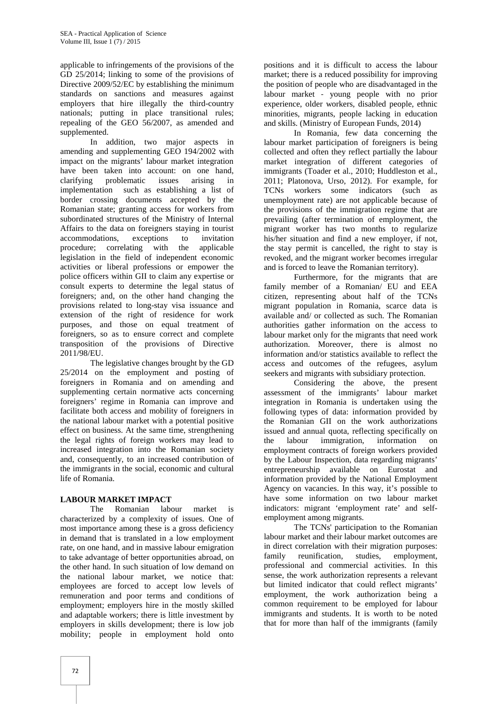applicable to infringements of the provisions of the GD 25/2014; linking to some of the provisions of Directive 2009/52/EC by establishing the minimum standards on sanctions and measures against employers that hire illegally the third-country nationals; putting in place transitional rules; repealing of the GEO 56/2007, as amended and supplemented.

In addition, two major aspects in amending and supplementing GEO 194/2002 with impact on the migrants' labour market integration have been taken into account: on one hand, clarifying problematic issues arising in implementation such as establishing a list of border crossing documents accepted by the Romanian state; granting access for workers from subordinated structures of the Ministry of Internal Affairs to the data on foreigners staying in tourist accommodations, exceptions to invitation procedure; correlating with the applicable legislation in the field of independent economic activities or liberal professions or empower the police officers within GII to claim any expertise or consult experts to determine the legal status of foreigners; and, on the other hand changing the provisions related to long-stay visa issuance and extension of the right of residence for work purposes, and those on equal treatment of foreigners, so as to ensure correct and complete transposition of the provisions of Directive 2011/98/EU.

The legislative changes brought by the GD 25/2014 on the employment and posting of foreigners in Romania and on amending and supplementing certain normative acts concerning foreigners' regime in Romania can improve and facilitate both access and mobility of foreigners in the national labour market with a potential positive effect on business. At the same time, strengthening the legal rights of foreign workers may lead to increased integration into the Romanian society and, consequently, to an increased contribution of the immigrants in the social, economic and cultural life of Romania.

## **LABOUR MARKET IMPACT**

The Romanian labour market is characterized by a complexity of issues. One of most importance among these is a gross deficiency in demand that is translated in a low employment rate, on one hand, and in massive labour emigration in director is alwantage of better opportunities abroad on family to take advantage of better opportunities abroad, on the other hand. In such situation of low demand on the national labour market, we notice that: employees are forced to accept low levels of remuneration and poor terms and conditions of employment; employers hire in the mostly skilled and adaptable workers; there is little investment by employers in skills development; there is low job mobility; people in employment hold onto

positions and it is difficult to access the labour market; there is a reduced possibility for improving the position of people who are disadvantaged in the labour market ‐ young people with no prior experience, older workers, disabled people, ethnic minorities, migrants, people lacking in education and skills. (Ministry of European Funds, 2014)

In Romania, few data concerning the labour market participation of foreigners is being collected and often they reflect partially the labour market integration of different categories of immigrants (Toader et al., 2010; Huddleston et al., 2011; Platonova, Urso, 2012). For example, for TCNs workers some indicators (such as unemployment rate) are not applicable because of the provisions of the immigration regime that are prevailing (after termination of employment, the migrant worker has two months to regularize his/her situation and find a new employer, if not, the stay permit is cancelled, the right to stay is revoked, and the migrant worker becomes irregular and is forced to leave the Romanian territory).

Furthermore, for the migrants that are family member of a Romanian/ EU and EEA citizen, representing about half of the TCNs migrant population in Romania, scarce data is available and/ or collected as such. The Romanian authorities gather information on the access to labour market only for the migrants that need work authorization. Moreover, there is almost no information and/or statistics available to reflect the access and outcomes of the refugees, asylum seekers and migrants with subsidiary protection.

Considering the above, the present assessment of the immigrants' labour market integration in Romania is undertaken using the following types of data: information provided by the Romanian GII on the work authorizations issued and annual quota, reflecting specifically on labour immigration, information on employment contracts of foreign workers provided by the Labour Inspection, data regarding migrants' entrepreneurship available on Eurostat and information provided by the National Employment Agency on vacancies. In this way, it's possible to have some information on two labour market indicators: migrant 'employment rate' and self employment among migrants.

The TCNs' participation to the Romanian labour market and their labour market outcomes are in direct correlation with their migration purposes: reunification, studies, employment, professional and commercial activities. In this sense, the work authorization represents a relevant but limited indicator that could reflect migrants' employment, the work authorization being a common requirement to be employed for labour immigrants and students. It is worth to be noted that for more than half of the immigrants (family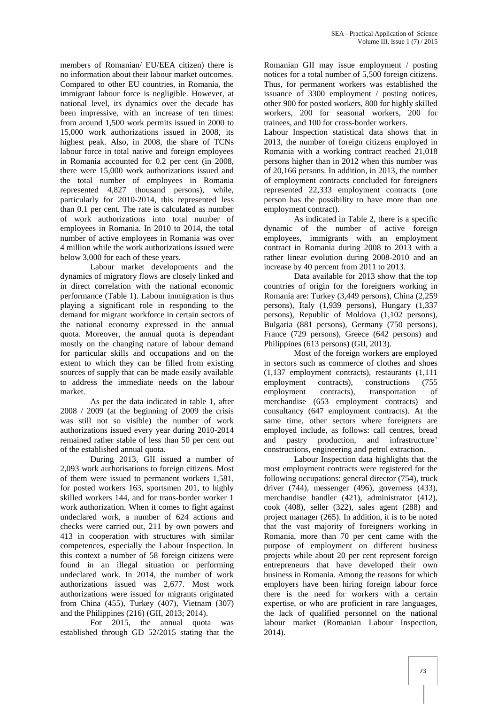members of Romanian/ EU/EEA citizen) there is no information about their labour market outcomes. Compared to other EU countries, in Romania, the immigrant labour force is negligible. However, at national level, its dynamics over the decade has been impressive, with an increase of ten times: from around 1,500 work permits issued in 2000 to 15,000 work authorizations issued in 2008, its highest peak. Also, in 2008, the share of TCNs labour force in total native and foreign employees in Romania accounted for 0.2 per cent (in 2008, there were 15,000 work authorizations issued and the total number of employees in Romania represented 4,827 thousand persons), while, particularly for 2010-2014, this represented less than 0.1 per cent. The rate is calculated as number of work authorizations into total number of employees in Romania. In 2010 to 2014, the total number of active employees in Romania was over 4 million while the work authorizations issued were below 3,000 for each of these years.

Labour market developments and the dynamics of migratory flows are closely linked and in direct correlation with the national economic performance (Table 1). Labour immigration is thus playing a significant role in responding to the demand for migrant workforce in certain sectors of the national economy expressed in the annual quota. Moreover, the annual quota is dependant mostly on the changing nature of labour demand for particular skills and occupations and on the extent to which they can be filled from existing sources of supply that can be made easily available to address the immediate needs on the labour market.

As per the data indicated in table 1, after 2008 / 2009 (at the beginning of 2009 the crisis was still not so visible) the number of work authorizations issued every year during 2010-2014 remained rather stable of less than 50 per cent out of the established annual quota.

During 2013, GII issued a number of 2,093 work authorisations to foreign citizens. Most of them were issued to permanent workers 1,581, for posted workers 163, sportsmen 201, to highly skilled workers 144, and for trans-border worker 1 work authorization. When it comes to fight against undeclared work, a number of 624 actions and checks were carried out, 211 by own powers and 413 in cooperation with structures with similar competences, especially the Labour Inspection. In this context a number of 58 foreign citizens were found in an illegal situation or performing undeclared work. In 2014, the number of work authorizations issued was 2,677. Most work authorizations were issued for migrants originated from China (455), Turkey (407), Vietnam (307) and the Philippines (216) (GII, 2013; 2014).

For 2015, the annual quota was established through GD 52/2015 stating that the Romanian GII may issue employment / posting notices for a total number of 5,500 foreign citizens. Thus, for permanent workers was established the issuance of 3300 employment / posting notices, other 900 for posted workers, 800 for highly skilled workers, 200 for seasonal workers, 200 for trainees, and 100 for cross-border workers.

Labour Inspection statistical data shows that in 2013, the number of foreign citizens employed in Romania with a working contract reached 21,018 persons higher than in 2012 when this number was of 20,166 persons. In addition, in 2013, the number of employment contracts concluded for foreigners represented 22,333 employment contracts (one person has the possibility to have more than one employment contract).

As indicated in Table 2, there is a specific dynamic of the number of active foreign employees, immigrants with an employment contract in Romania during 2008 to 2013 with a rather linear evolution during 2008-2010 and an increase by 40 percent from 2011 to 2013.

Data available for 2013 show that the top countries of origin for the foreigners working in Romania are: Turkey (3,449 persons), China (2,259 persons), Italy (1,939 persons), Hungary (1,337 persons), Republic of Moldova (1,102 persons), Bulgaria (881 persons), Germany (750 persons), France (729 persons), Greece (642 persons) and Philippines (613 persons) (GII, 2013).

Most of the foreign workers are employed in sectors such as commerce of clothes and shoes (1,137 employment contracts), restaurants (1,111 employment contracts), constructions (755 employment contracts), transportation of merchandise (653 employment contracts) and consultancy (647 employment contracts). At the same time, other sectors where foreigners are employed include, as follows: call centres, bread and pastry production, and infrastructure' constructions, engineering and petrol extraction.

Labour Inspection data highlights that the most employment contracts were registered for the following occupations: general director (754), truck driver (744), messenger (496), governess (433), merchandise handler (421), administrator (412), cook (408), seller (322), sales agent (288) and project manager (265). In addition, it is to be noted that the vast majority of foreigners working in Romania, more than 70 per cent came with the purpose of employment on different business projects while about 20 per cent represent foreign entrepreneurs that have developed their own business in Romania. Among the reasons for which employers have been hiring foreign labour force there is the need for workers with a certain expertise, or who are proficient in rare languages, the lack of qualified personnel on the national labour market (Romanian Labour Inspection, 2014).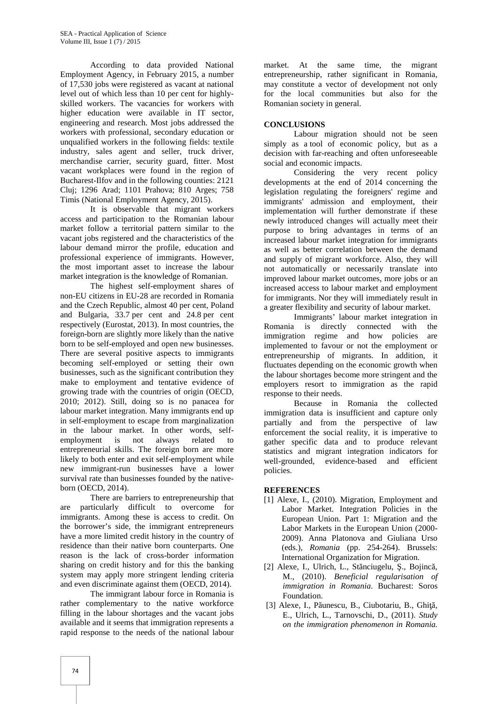According to data provided National Employment Agency, in February 2015, a number of 17,530 jobs were registered as vacant at national level out of which less than 10 per cent for highly skilled workers. The vacancies for workers with higher education were available in IT sector, engineering and research. Most jobs addressed the workers with professional, secondary education or unqualified workers in the following fields: textile industry, sales agent and seller, truck driver, merchandise carrier, security guard, fitter. Most vacant workplaces were found in the region of Bucharest-Ilfov and in the following counties: 2121 Cluj; 1296 Arad; 1101 Prahova; 810 Arges; 758 Timis (National Employment Agency, 2015).

It is observable that migrant workers access and participation to the Romanian labour market follow a territorial pattern similar to the vacant jobs registered and the characteristics of the labour demand mirror the profile, education and professional experience of immigrants. However, the most important asset to increase the labour market integration is the knowledge of Romanian.

The highest self-employment shares of non-EU citizens in EU-28 are recorded in Romania and the Czech Republic, almost 40 per cent, Poland and Bulgaria, 33.7 per cent and 24.8 per cent respectively (Eurostat, 2013). In most countries, the foreign-born are slightly more likely than the native born to be self-employed and open new businesses. There are several positive aspects to immigrants becoming self-employed or setting their own businesses, such as the significant contribution they make to employment and tentative evidence of growing trade with the countries of origin (OECD, 2010; 2012). Still, doing so is no panacea for labour market integration. Many immigrants end up in self-employment to escape from marginalization in the labour market. In other words, self employment is not always related to entrepreneurial skills. The foreign born are more likely to both enter and exit self-employment while new immigrant-run businesses have a lower survival rate than businesses founded by the native born (OECD, 2014).

There are barriers to entrepreneurship that are particularly difficult to overcome for immigrants. Among these is access to credit. On the borrower's side, the immigrant entrepreneurs have a more limited credit history in the country of residence than their native born counterparts. One reason is the lack of cross-border information sharing on credit history and for this the banking system may apply more stringent lending criteria and even discriminate against them (OECD, 2014).

The immigrant labour force in Romania is rather complementary to the native workforce filling in the labour shortages and the vacant jobs available and it seems that immigration represents a rapid response to the needs of the national labour

market. At the same time, the migrant entrepreneurship, rather significant in Romania, may constitute a vector of development not only for the local communities but also for the Romanian society in general.

## **CONCLUSIONS**

Labour migration should not be seen simply as a tool of economic policy, but as a decision with far-reaching and often unforeseeable social and economic impacts.

Considering the very recent policy developments at the end of 2014 concerning the legislation regulating the foreigners' regime and immigrants' admission and employment, their implementation will further demonstrate if these newly introduced changes will actually meet their purpose to bring advantages in terms of an increased labour market integration for immigrants as well as better correlation between the demand and supply of migrant workforce. Also, they will not automatically or necessarily translate into improved labour market outcomes, more jobs or an increased access to labour market and employment for immigrants. Nor they will immediately result in a greater flexibility and security of labour market.

Immigrants' labour market integration in Romania is directly connected with the immigration regime and how policies are implemented to favour or not the employment or entrepreneurship of migrants. In addition, it fluctuates depending on the economic growth when the labour shortages become more stringent and the employers resort to immigration as the rapid response to their needs.

Because in Romania the collected immigration data is insufficient and capture only partially and from the perspective of law enforcement the social reality, it is imperative to gather specific data and to produce relevant statistics and migrant integration indicators for well-grounded, evidence-based and efficient policies.

#### **REFERENCES**

- [1] Alexe, I., (2010). Migration, Employment and Labor Market. Integration Policies in the European Union. Part 1: Migration and the Labor Markets in the European Union (2000- 2009). Anna Platonova and Giuliana Urso (eds.), *Romania* (pp. 254-264). Brussels: International Organization for Migration.
- [2] Alexe, I., Ulrich, L., St nciugelu, ., Bojinc, M., (2010). *Beneficial regularisation of immigration in Romania*. Bucharest: Soros Foundation.
- [3] Alexe, I., P unescu, B., Ciubotariu, B., Ghi E., Ulrich, L., Tarnovschi, D., (2011). *Study on the immigration phenomenon in Romania.*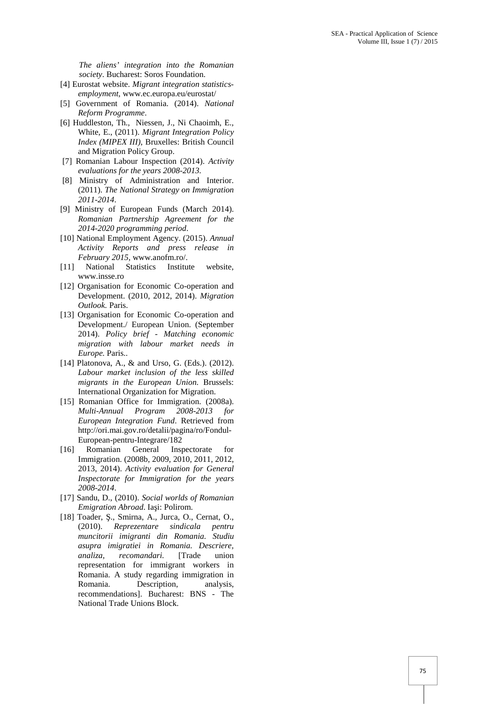*The aliens' integration into the Romanian society*. Bucharest: Soros Foundation.

- [4] Eurostat website. *Migrant integration statistics employment*, www.ec.europa.eu/eurostat/
- [5] Government of Romania. (2014). *National Reform Programme*.
- [6] Huddleston, Th., Niessen, J., Ni Chaoimh, E., White, E., (2011). *Migrant Integration Policy Index (MIPEX III)*, Bruxelles: British Council and Migration Policy Group.
- [7] Romanian Labour Inspection (2014). *Activity evaluations for the years 2008-2013.*
- [8] Ministry of Administration and Interior. (2011). *The National Strategy on Immigration 2011-2014*.
- [9] Ministry of European Funds (March 2014). *Romanian Partnership Agreement for the 2014-2020 programming period*.
- [10] National Employment Agency. (2015). *Annual Activity Reports and press release in February 2015,* www.anofm.ro/.
- [11] National Statistics Institute website, www.insse.ro
- [12] Organisation for Economic Co-operation and Development. (2010, 2012, 2014). *Migration Outlook.* Paris.
- [13] Organisation for Economic Co-operation and Development./ European Union. (September 2014). *Policy brief - Matching economic migration with labour market needs in Europe.* Paris..
- [14] Platonova, A., & and Urso, G. (Eds.). (2012). *Labour market inclusion of the less skilled migrants in the European Union.* Brussels: International Organization for Migration.
- [15] Romanian Office for Immigration. (2008a). *Multi-Annual Program 2008-2013 for European Integration Fund*. Retrieved from http://ori.mai.gov.ro/detalii/pagina/ro/Fondul- European-pentru-Integrare/182
- [16] Romanian General Inspectorate for Immigration. (2008b, 2009, 2010, 2011, 2012, 2013, 2014). *Activity evaluation for General Inspectorate for Immigration for the years 2008-2014*.
- [17] Sandu, D., (2010). *Social worlds of Romanian Emigration Abroad*. Ia i: Polirom.
- [18] Toader, ., Smirna, A., Jurca, O., Cernat, O., (2010). Reprezentare sindicala pentru (2010). *Reprezentare sindicala pentru muncitorii imigranti din Romania. Studiu asupra imigratiei in Romania. Descriere, analiza, recomandari.* [Trade union representation for immigrant workers in Romania. A study regarding immigration in Romania. Description, analysis, recommendations]. Bucharest: BNS - The National Trade Unions Block.